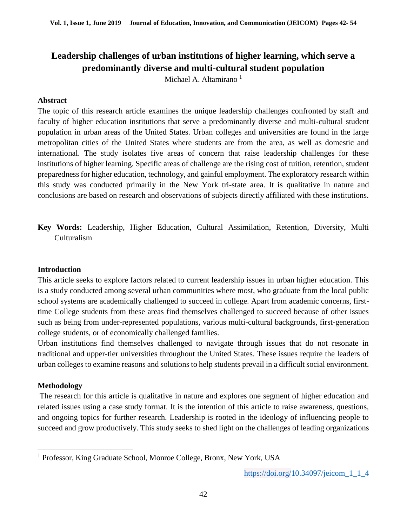Michael A. Altamirano<sup>1</sup>

#### **Abstract**

The topic of this research article examines the unique leadership challenges confronted by staff and faculty of higher education institutions that serve a predominantly diverse and multi-cultural student population in urban areas of the United States. Urban colleges and universities are found in the large metropolitan cities of the United States where students are from the area, as well as domestic and international. The study isolates five areas of concern that raise leadership challenges for these institutions of higher learning. Specific areas of challenge are the rising cost of tuition, retention, student preparedness for higher education, technology, and gainful employment. The exploratory research within this study was conducted primarily in the New York tri-state area. It is qualitative in nature and conclusions are based on research and observations of subjects directly affiliated with these institutions.

**Key Words:** Leadership, Higher Education, Cultural Assimilation, Retention, Diversity, Multi Culturalism

#### **Introduction**

This article seeks to explore factors related to current leadership issues in urban higher education. This is a study conducted among several urban communities where most, who graduate from the local public school systems are academically challenged to succeed in college. Apart from academic concerns, firsttime College students from these areas find themselves challenged to succeed because of other issues such as being from under-represented populations, various multi-cultural backgrounds, first-generation college students, or of economically challenged families.

Urban institutions find themselves challenged to navigate through issues that do not resonate in traditional and upper-tier universities throughout the United States. These issues require the leaders of urban colleges to examine reasons and solutions to help students prevail in a difficult social environment.

## **Methodology**

 $\overline{a}$ 

The research for this article is qualitative in nature and explores one segment of higher education and related issues using a case study format. It is the intention of this article to raise awareness, questions, and ongoing topics for further research. Leadership is rooted in the ideology of influencing people to succeed and grow productively. This study seeks to shed light on the challenges of leading organizations

<sup>&</sup>lt;sup>1</sup> Professor, King Graduate School, Monroe College, Bronx, New York, USA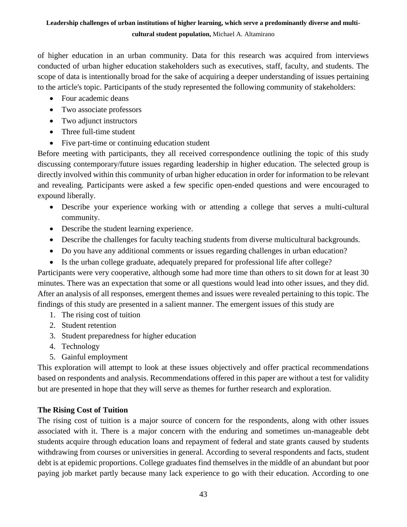of higher education in an urban community. Data for this research was acquired from interviews conducted of urban higher education stakeholders such as executives, staff, faculty, and students. The scope of data is intentionally broad for the sake of acquiring a deeper understanding of issues pertaining to the article's topic. Participants of the study represented the following community of stakeholders:

- Four academic deans
- Two associate professors
- Two adjunct instructors
- Three full-time student
- Five part-time or continuing education student

Before meeting with participants, they all received correspondence outlining the topic of this study discussing contemporary/future issues regarding leadership in higher education. The selected group is directly involved within this community of urban higher education in order for information to be relevant and revealing. Participants were asked a few specific open-ended questions and were encouraged to expound liberally.

- Describe your experience working with or attending a college that serves a multi-cultural community.
- Describe the student learning experience.
- Describe the challenges for faculty teaching students from diverse multicultural backgrounds.
- Do you have any additional comments or issues regarding challenges in urban education?
- Is the urban college graduate, adequately prepared for professional life after college?

Participants were very cooperative, although some had more time than others to sit down for at least 30 minutes. There was an expectation that some or all questions would lead into other issues, and they did. After an analysis of all responses, emergent themes and issues were revealed pertaining to this topic. The findings of this study are presented in a salient manner. The emergent issues of this study are

- 1. The rising cost of tuition
- 2. Student retention
- 3. Student preparedness for higher education
- 4. Technology
- 5. Gainful employment

This exploration will attempt to look at these issues objectively and offer practical recommendations based on respondents and analysis. Recommendations offered in this paper are without a test for validity but are presented in hope that they will serve as themes for further research and exploration.

## **The Rising Cost of Tuition**

The rising cost of tuition is a major source of concern for the respondents, along with other issues associated with it. There is a major concern with the enduring and sometimes un-manageable debt students acquire through education loans and repayment of federal and state grants caused by students withdrawing from courses or universities in general. According to several respondents and facts, student debt is at epidemic proportions. College graduates find themselves in the middle of an abundant but poor paying job market partly because many lack experience to go with their education. According to one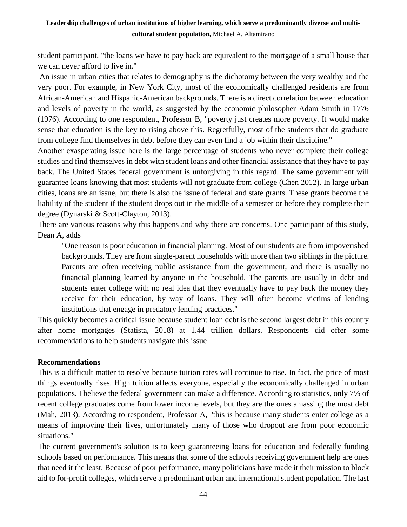student participant, "the loans we have to pay back are equivalent to the mortgage of a small house that we can never afford to live in."

An issue in urban cities that relates to demography is the dichotomy between the very wealthy and the very poor. For example, in New York City, most of the economically challenged residents are from African-American and Hispanic-American backgrounds. There is a direct correlation between education and levels of poverty in the world, as suggested by the economic philosopher Adam Smith in 1776 (1976). According to one respondent, Professor B, "poverty just creates more poverty. It would make sense that education is the key to rising above this. Regretfully, most of the students that do graduate from college find themselves in debt before they can even find a job within their discipline."

Another exasperating issue here is the large percentage of students who never complete their college studies and find themselves in debt with student loans and other financial assistance that they have to pay back. The United States federal government is unforgiving in this regard. The same government will guarantee loans knowing that most students will not graduate from college (Chen 2012). In large urban cities, loans are an issue, but there is also the issue of federal and state grants. These grants become the liability of the student if the student drops out in the middle of a semester or before they complete their degree (Dynarski & Scott-Clayton, 2013).

There are various reasons why this happens and why there are concerns. One participant of this study, Dean A, adds

"One reason is poor education in financial planning. Most of our students are from impoverished backgrounds. They are from single-parent households with more than two siblings in the picture. Parents are often receiving public assistance from the government, and there is usually no financial planning learned by anyone in the household. The parents are usually in debt and students enter college with no real idea that they eventually have to pay back the money they receive for their education, by way of loans. They will often become victims of lending institutions that engage in predatory lending practices."

This quickly becomes a critical issue because student loan debt is the second largest debt in this country after home mortgages (Statista, 2018) at 1.44 trillion dollars. Respondents did offer some recommendations to help students navigate this issue

#### **Recommendations**

This is a difficult matter to resolve because tuition rates will continue to rise. In fact, the price of most things eventually rises. High tuition affects everyone, especially the economically challenged in urban populations. I believe the federal government can make a difference. According to statistics, only 7% of recent college graduates come from lower income levels, but they are the ones amassing the most debt (Mah, 2013). According to respondent, Professor A, "this is because many students enter college as a means of improving their lives, unfortunately many of those who dropout are from poor economic situations."

The current government's solution is to keep guaranteeing loans for education and federally funding schools based on performance. This means that some of the schools receiving government help are ones that need it the least. Because of poor performance, many politicians have made it their mission to block aid to for-profit colleges, which serve a predominant urban and international student population. The last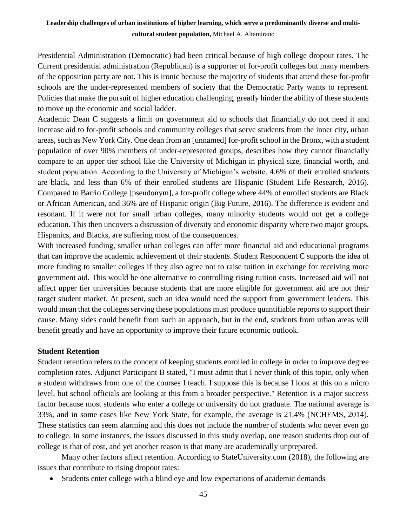Presidential Administration (Democratic) had been critical because of high college dropout rates. The Current presidential administration (Republican) is a supporter of for-profit colleges but many members of the opposition party are not. This is ironic because the majority of students that attend these for-profit schools are the under-represented members of society that the Democratic Party wants to represent. Policies that make the pursuit of higher education challenging, greatly hinder the ability of these students to move up the economic and social ladder.

Academic Dean C suggests a limit on government aid to schools that financially do not need it and increase aid to for-profit schools and community colleges that serve students from the inner city, urban areas, such as New York City. One dean from an [unnamed] for-profit school in the Bronx, with a student population of over 90% members of under-represented groups, describes how they cannot financially compare to an upper tier school like the University of Michigan in physical size, financial worth, and student population. According to the University of Michigan's website, 4.6% of their enrolled students are black, and less than 6% of their enrolled students are Hispanic (Student Life Research, 2016). Compared to Barrio College [pseudonym], a for-profit college where 44% of enrolled students are Black or African American, and 36% are of Hispanic origin (Big Future, 2016). The difference is evident and resonant. If it were not for small urban colleges, many minority students would not get a college education. This then uncovers a discussion of diversity and economic disparity where two major groups, Hispanics, and Blacks, are suffering most of the consequences.

With increased funding, smaller urban colleges can offer more financial aid and educational programs that can improve the academic achievement of their students. Student Respondent C supports the idea of more funding to smaller colleges if they also agree not to raise tuition in exchange for receiving more government aid. This would be one alternative to controlling rising tuition costs. Increased aid will not affect upper tier universities because students that are more eligible for government aid are not their target student market. At present, such an idea would need the support from government leaders. This would mean that the colleges serving these populations must produce quantifiable reports to support their cause. Many sides could benefit from such an approach, but in the end, students from urban areas will benefit greatly and have an opportunity to improve their future economic outlook.

## **Student Retention**

Student retention refers to the concept of keeping students enrolled in college in order to improve degree completion rates. Adjunct Participant B stated, "I must admit that I never think of this topic, only when a student withdraws from one of the courses I teach. I suppose this is because I look at this on a micro level, but school officials are looking at this from a broader perspective." Retention is a major success factor because most students who enter a college or university do not graduate. The national average is 33%, and in some cases like New York State, for example, the average is 21.4% (NCHEMS, 2014). These statistics can seem alarming and this does not include the number of students who never even go to college. In some instances, the issues discussed in this study overlap, one reason students drop out of college is that of cost, and yet another reason is that many are academically unprepared.

Many other factors affect retention. According to StateUniversity.com (2018), the following are issues that contribute to rising dropout rates:

Students enter college with a blind eye and low expectations of academic demands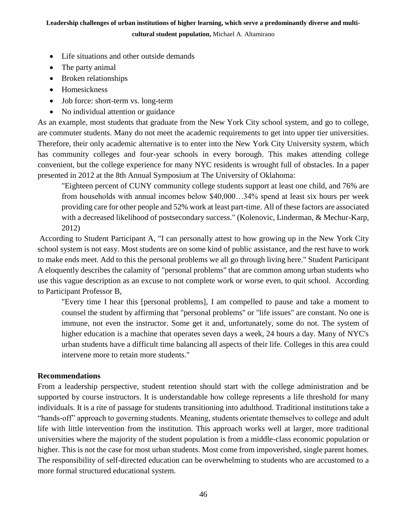**cultural student population,** Michael A. Altamirano

- Life situations and other outside demands
- The party animal
- Broken relationships
- Homesickness
- Job force: short-term vs. long-term
- No individual attention or guidance

As an example, most students that graduate from the New York City school system, and go to college, are commuter students. Many do not meet the academic requirements to get into upper tier universities. Therefore, their only academic alternative is to enter into the New York City University system, which has community colleges and four-year schools in every borough. This makes attending college convenient, but the college experience for many NYC residents is wrought full of obstacles. In a paper presented in 2012 at the 8th Annual Symposium at The University of Oklahoma:

"Eighteen percent of CUNY community college students support at least one child, and 76% are from households with annual incomes below \$40,000…34% spend at least six hours per week providing care for other people and 52% work at least part-time. All of these factors are associated with a decreased likelihood of postsecondary success." (Kolenovic, Linderman, & Mechur-Karp, 2012)

According to Student Participant A, "I can personally attest to how growing up in the New York City school system is not easy. Most students are on some kind of public assistance, and the rest have to work to make ends meet. Add to this the personal problems we all go through living here." Student Participant A eloquently describes the calamity of "personal problems" that are common among urban students who use this vague description as an excuse to not complete work or worse even, to quit school. According to Participant Professor B,

"Every time I hear this [personal problems], I am compelled to pause and take a moment to counsel the student by affirming that "personal problems" or "life issues" are constant. No one is immune, not even the instructor. Some get it and, unfortunately, some do not. The system of higher education is a machine that operates seven days a week, 24 hours a day. Many of NYC's urban students have a difficult time balancing all aspects of their life. Colleges in this area could intervene more to retain more students."

#### **Recommendations**

From a leadership perspective, student retention should start with the college administration and be supported by course instructors. It is understandable how college represents a life threshold for many individuals. It is a rite of passage for students transitioning into adulthood. Traditional institutions take a "hands-off" approach to governing students. Meaning, students orientate themselves to college and adult life with little intervention from the institution. This approach works well at larger, more traditional universities where the majority of the student population is from a middle-class economic population or higher. This is not the case for most urban students. Most come from impoverished, single parent homes. The responsibility of self-directed education can be overwhelming to students who are accustomed to a more formal structured educational system.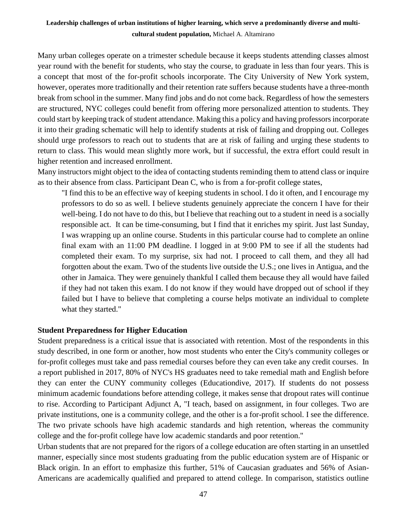Many urban colleges operate on a trimester schedule because it keeps students attending classes almost year round with the benefit for students, who stay the course, to graduate in less than four years. This is a concept that most of the for-profit schools incorporate. The City University of New York system, however, operates more traditionally and their retention rate suffers because students have a three-month break from school in the summer. Many find jobs and do not come back. Regardless of how the semesters are structured, NYC colleges could benefit from offering more personalized attention to students. They could start by keeping track of student attendance. Making this a policy and having professors incorporate it into their grading schematic will help to identify students at risk of failing and dropping out. Colleges should urge professors to reach out to students that are at risk of failing and urging these students to return to class. This would mean slightly more work, but if successful, the extra effort could result in higher retention and increased enrollment.

Many instructors might object to the idea of contacting students reminding them to attend class or inquire as to their absence from class. Participant Dean C, who is from a for-profit college states,

"I find this to be an effective way of keeping students in school. I do it often, and I encourage my professors to do so as well. I believe students genuinely appreciate the concern I have for their well-being. I do not have to do this, but I believe that reaching out to a student in need is a socially responsible act. It can be time-consuming, but I find that it enriches my spirit. Just last Sunday, I was wrapping up an online course. Students in this particular course had to complete an online final exam with an 11:00 PM deadline. I logged in at 9:00 PM to see if all the students had completed their exam. To my surprise, six had not. I proceed to call them, and they all had forgotten about the exam. Two of the students live outside the U.S.; one lives in Antigua, and the other in Jamaica. They were genuinely thankful I called them because they all would have failed if they had not taken this exam. I do not know if they would have dropped out of school if they failed but I have to believe that completing a course helps motivate an individual to complete what they started."

#### **Student Preparedness for Higher Education**

Student preparedness is a critical issue that is associated with retention. Most of the respondents in this study described, in one form or another, how most students who enter the City's community colleges or for-profit colleges must take and pass remedial courses before they can even take any credit courses. In a report published in 2017, 80% of NYC's HS graduates need to take remedial math and English before they can enter the CUNY community colleges (Educationdive, 2017). If students do not possess minimum academic foundations before attending college, it makes sense that dropout rates will continue to rise. According to Participant Adjunct A, "I teach, based on assignment, in four colleges. Two are private institutions, one is a community college, and the other is a for-profit school. I see the difference. The two private schools have high academic standards and high retention, whereas the community college and the for-profit college have low academic standards and poor retention."

Urban students that are not prepared for the rigors of a college education are often starting in an unsettled manner, especially since most students graduating from the public education system are of Hispanic or Black origin. In an effort to emphasize this further, 51% of Caucasian graduates and 56% of Asian-Americans are academically qualified and prepared to attend college. In comparison, statistics outline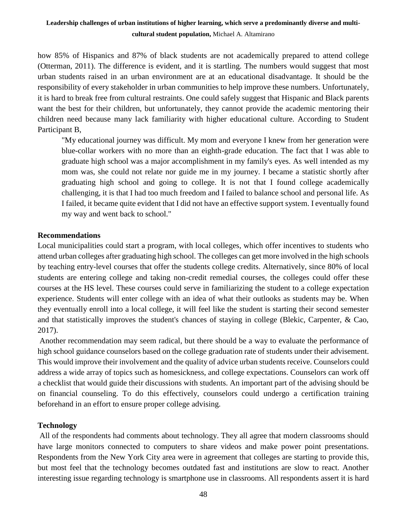how 85% of Hispanics and 87% of black students are not academically prepared to attend college (Otterman, 2011). The difference is evident, and it is startling. The numbers would suggest that most urban students raised in an urban environment are at an educational disadvantage. It should be the responsibility of every stakeholder in urban communities to help improve these numbers. Unfortunately, it is hard to break free from cultural restraints. One could safely suggest that Hispanic and Black parents want the best for their children, but unfortunately, they cannot provide the academic mentoring their children need because many lack familiarity with higher educational culture. According to Student Participant B,

"My educational journey was difficult. My mom and everyone I knew from her generation were blue-collar workers with no more than an eighth-grade education. The fact that I was able to graduate high school was a major accomplishment in my family's eyes. As well intended as my mom was, she could not relate nor guide me in my journey. I became a statistic shortly after graduating high school and going to college. It is not that I found college academically challenging, it is that I had too much freedom and I failed to balance school and personal life. As I failed, it became quite evident that I did not have an effective support system. I eventually found my way and went back to school."

## **Recommendations**

Local municipalities could start a program, with local colleges, which offer incentives to students who attend urban colleges after graduating high school. The colleges can get more involved in the high schools by teaching entry-level courses that offer the students college credits. Alternatively, since 80% of local students are entering college and taking non-credit remedial courses, the colleges could offer these courses at the HS level. These courses could serve in familiarizing the student to a college expectation experience. Students will enter college with an idea of what their outlooks as students may be. When they eventually enroll into a local college, it will feel like the student is starting their second semester and that statistically improves the student's chances of staying in college (Blekic, Carpenter, & Cao, 2017).

Another recommendation may seem radical, but there should be a way to evaluate the performance of high school guidance counselors based on the college graduation rate of students under their advisement. This would improve their involvement and the quality of advice urban students receive. Counselors could address a wide array of topics such as homesickness, and college expectations. Counselors can work off a checklist that would guide their discussions with students. An important part of the advising should be on financial counseling. To do this effectively, counselors could undergo a certification training beforehand in an effort to ensure proper college advising.

## **Technology**

All of the respondents had comments about technology. They all agree that modern classrooms should have large monitors connected to computers to share videos and make power point presentations. Respondents from the New York City area were in agreement that colleges are starting to provide this, but most feel that the technology becomes outdated fast and institutions are slow to react. Another interesting issue regarding technology is smartphone use in classrooms. All respondents assert it is hard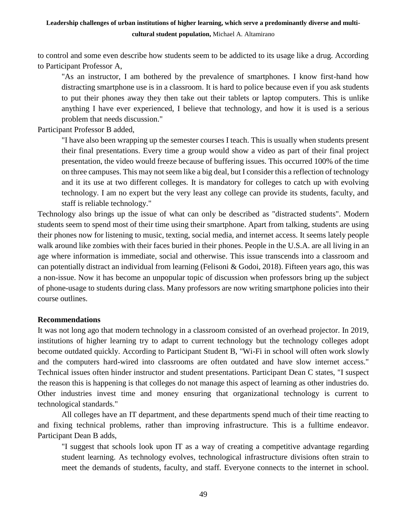to control and some even describe how students seem to be addicted to its usage like a drug. According to Participant Professor A,

"As an instructor, I am bothered by the prevalence of smartphones. I know first-hand how distracting smartphone use is in a classroom. It is hard to police because even if you ask students to put their phones away they then take out their tablets or laptop computers. This is unlike anything I have ever experienced, I believe that technology, and how it is used is a serious problem that needs discussion."

Participant Professor B added,

"I have also been wrapping up the semester courses I teach. This is usually when students present their final presentations. Every time a group would show a video as part of their final project presentation, the video would freeze because of buffering issues. This occurred 100% of the time on three campuses. This may not seem like a big deal, but I consider this a reflection of technology and it its use at two different colleges. It is mandatory for colleges to catch up with evolving technology. I am no expert but the very least any college can provide its students, faculty, and staff is reliable technology."

Technology also brings up the issue of what can only be described as "distracted students". Modern students seem to spend most of their time using their smartphone. Apart from talking, students are using their phones now for listening to music, texting, social media, and internet access. It seems lately people walk around like zombies with their faces buried in their phones. People in the U.S.A. are all living in an age where information is immediate, social and otherwise. This issue transcends into a classroom and can potentially distract an individual from learning (Felisoni & Godoi, 2018). Fifteen years ago, this was a non-issue. Now it has become an unpopular topic of discussion when professors bring up the subject of phone-usage to students during class. Many professors are now writing smartphone policies into their course outlines.

#### **Recommendations**

It was not long ago that modern technology in a classroom consisted of an overhead projector. In 2019, institutions of higher learning try to adapt to current technology but the technology colleges adopt become outdated quickly. According to Participant Student B, "Wi-Fi in school will often work slowly and the computers hard-wired into classrooms are often outdated and have slow internet access." Technical issues often hinder instructor and student presentations. Participant Dean C states, "I suspect the reason this is happening is that colleges do not manage this aspect of learning as other industries do. Other industries invest time and money ensuring that organizational technology is current to technological standards."

All colleges have an IT department, and these departments spend much of their time reacting to and fixing technical problems, rather than improving infrastructure. This is a fulltime endeavor. Participant Dean B adds,

"I suggest that schools look upon IT as a way of creating a competitive advantage regarding student learning. As technology evolves, technological infrastructure divisions often strain to meet the demands of students, faculty, and staff. Everyone connects to the internet in school.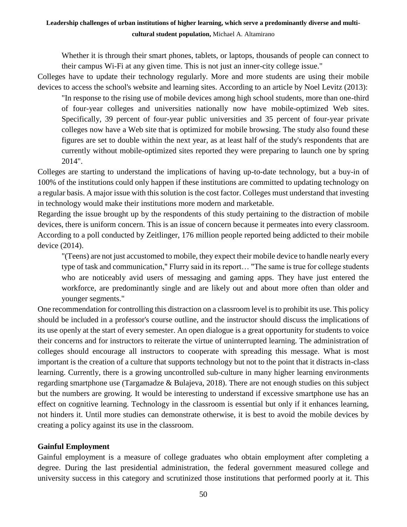Whether it is through their smart phones, tablets, or laptops, thousands of people can connect to their campus Wi-Fi at any given time. This is not just an inner-city college issue."

Colleges have to update their technology regularly. More and more students are using their mobile devices to access the school's website and learning sites. According to an article by Noel Levitz (2013):

"In response to the rising use of mobile devices among high school students, more than one-third of four-year colleges and universities nationally now have mobile-optimized Web sites. Specifically, 39 percent of four-year public universities and 35 percent of four-year private colleges now have a Web site that is optimized for mobile browsing. The study also found these figures are set to double within the next year, as at least half of the study's respondents that are currently without mobile-optimized sites reported they were preparing to launch one by spring 2014".

Colleges are starting to understand the implications of having up-to-date technology, but a buy-in of 100% of the institutions could only happen if these institutions are committed to updating technology on a regular basis. A major issue with this solution is the cost factor. Colleges must understand that investing in technology would make their institutions more modern and marketable.

Regarding the issue brought up by the respondents of this study pertaining to the distraction of mobile devices, there is uniform concern. This is an issue of concern because it permeates into every classroom. According to a poll conducted by Zeitlinger, 176 million people reported being addicted to their mobile device (2014).

"(Teens) are not just accustomed to mobile, they expect their mobile device to handle nearly every type of task and communication," Flurry said in its report… "The same is true for college students who are noticeably avid users of messaging and gaming apps. They have just entered the workforce, are predominantly single and are likely out and about more often than older and younger segments."

One recommendation for controlling this distraction on a classroom level is to prohibit its use. This policy should be included in a professor's course outline, and the instructor should discuss the implications of its use openly at the start of every semester. An open dialogue is a great opportunity for students to voice their concerns and for instructors to reiterate the virtue of uninterrupted learning. The administration of colleges should encourage all instructors to cooperate with spreading this message. What is most important is the creation of a culture that supports technology but not to the point that it distracts in-class learning. Currently, there is a growing uncontrolled sub-culture in many higher learning environments regarding smartphone use (Targamadze & Bulajeva, 2018). There are not enough studies on this subject but the numbers are growing. It would be interesting to understand if excessive smartphone use has an effect on cognitive learning. Technology in the classroom is essential but only if it enhances learning, not hinders it. Until more studies can demonstrate otherwise, it is best to avoid the mobile devices by creating a policy against its use in the classroom.

## **Gainful Employment**

Gainful employment is a measure of college graduates who obtain employment after completing a degree. During the last presidential administration, the federal government measured college and university success in this category and scrutinized those institutions that performed poorly at it. This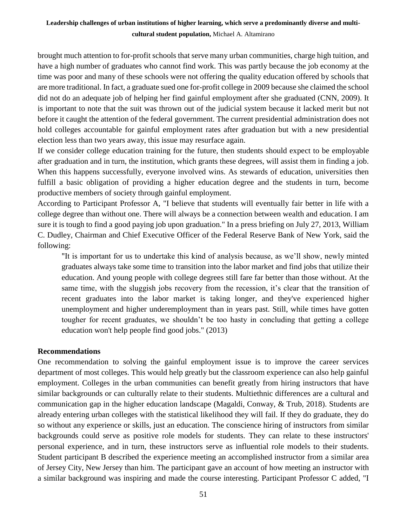brought much attention to for-profit schools that serve many urban communities, charge high tuition, and have a high number of graduates who cannot find work. This was partly because the job economy at the time was poor and many of these schools were not offering the quality education offered by schools that are more traditional. In fact, a graduate sued one for-profit college in 2009 because she claimed the school did not do an adequate job of helping her find gainful employment after she graduated (CNN, 2009). It is important to note that the suit was thrown out of the judicial system because it lacked merit but not before it caught the attention of the federal government. The current presidential administration does not hold colleges accountable for gainful employment rates after graduation but with a new presidential election less than two years away, this issue may resurface again.

If we consider college education training for the future, then students should expect to be employable after graduation and in turn, the institution, which grants these degrees, will assist them in finding a job. When this happens successfully, everyone involved wins. As stewards of education, universities then fulfill a basic obligation of providing a higher education degree and the students in turn, become productive members of society through gainful employment.

According to Participant Professor A, "I believe that students will eventually fair better in life with a college degree than without one. There will always be a connection between wealth and education. I am sure it is tough to find a good paying job upon graduation." In a press briefing on July 27, 2013, William C. Dudley, Chairman and Chief Executive Officer of the Federal Reserve Bank of New York, said the following:

"It is important for us to undertake this kind of analysis because, as we'll show, newly minted graduates always take some time to transition into the labor market and find jobs that utilize their education. And young people with college degrees still fare far better than those without. At the same time, with the sluggish jobs recovery from the recession, it's clear that the transition of recent graduates into the labor market is taking longer, and they've experienced higher unemployment and higher underemployment than in years past. Still, while times have gotten tougher for recent graduates, we shouldn't be too hasty in concluding that getting a college education won't help people find good jobs." (2013)

#### **Recommendations**

One recommendation to solving the gainful employment issue is to improve the career services department of most colleges. This would help greatly but the classroom experience can also help gainful employment. Colleges in the urban communities can benefit greatly from hiring instructors that have similar backgrounds or can culturally relate to their students. Multiethnic differences are a cultural and communication gap in the higher education landscape (Magaldi, Conway, & Trub, 2018). Students are already entering urban colleges with the statistical likelihood they will fail. If they do graduate, they do so without any experience or skills, just an education. The conscience hiring of instructors from similar backgrounds could serve as positive role models for students. They can relate to these instructors' personal experience, and in turn, these instructors serve as influential role models to their students. Student participant B described the experience meeting an accomplished instructor from a similar area of Jersey City, New Jersey than him. The participant gave an account of how meeting an instructor with a similar background was inspiring and made the course interesting. Participant Professor C added, "I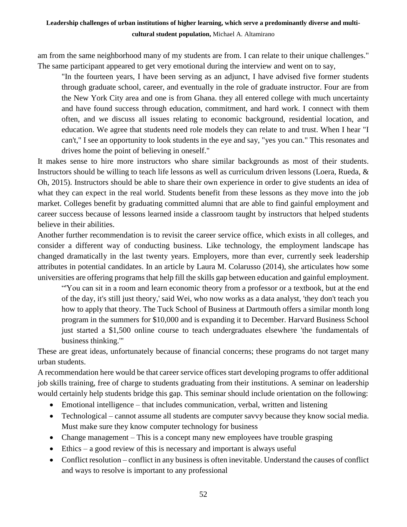am from the same neighborhood many of my students are from. I can relate to their unique challenges." The same participant appeared to get very emotional during the interview and went on to say,

"In the fourteen years, I have been serving as an adjunct, I have advised five former students through graduate school, career, and eventually in the role of graduate instructor. Four are from the New York City area and one is from Ghana. they all entered college with much uncertainty and have found success through education, commitment, and hard work. I connect with them often, and we discuss all issues relating to economic background, residential location, and education. We agree that students need role models they can relate to and trust. When I hear "I can't," I see an opportunity to look students in the eye and say, "yes you can." This resonates and drives home the point of believing in oneself."

It makes sense to hire more instructors who share similar backgrounds as most of their students. Instructors should be willing to teach life lessons as well as curriculum driven lessons (Loera, Rueda, & Oh, 2015). Instructors should be able to share their own experience in order to give students an idea of what they can expect in the real world. Students benefit from these lessons as they move into the job market. Colleges benefit by graduating committed alumni that are able to find gainful employment and career success because of lessons learned inside a classroom taught by instructors that helped students believe in their abilities.

Another further recommendation is to revisit the career service office, which exists in all colleges, and consider a different way of conducting business. Like technology, the employment landscape has changed dramatically in the last twenty years. Employers, more than ever, currently seek leadership attributes in potential candidates. In an article by Laura M. Colarusso (2014), she articulates how some universities are offering programs that help fill the skills gap between education and gainful employment.

"'You can sit in a room and learn economic theory from a professor or a textbook, but at the end of the day, it's still just theory,' said Wei, who now works as a data analyst, 'they don't teach you how to apply that theory. The Tuck School of Business at Dartmouth offers a similar month long program in the summers for \$10,000 and is expanding it to December. Harvard Business School just started a \$1,500 online course to teach undergraduates elsewhere 'the fundamentals of business thinking.'"

These are great ideas, unfortunately because of financial concerns; these programs do not target many urban students.

A recommendation here would be that career service offices start developing programs to offer additional job skills training, free of charge to students graduating from their institutions. A seminar on leadership would certainly help students bridge this gap. This seminar should include orientation on the following:

- Emotional intelligence that includes communication, verbal, written and listening
- Technological cannot assume all students are computer savvy because they know social media. Must make sure they know computer technology for business
- Change management This is a concept many new employees have trouble grasping
- $\bullet$  Ethics a good review of this is necessary and important is always useful
- Conflict resolution conflict in any business is often inevitable. Understand the causes of conflict and ways to resolve is important to any professional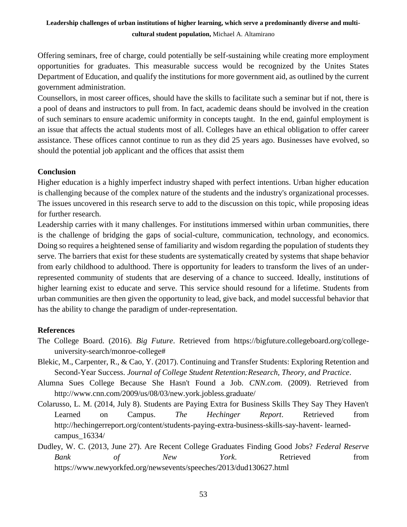Offering seminars, free of charge, could potentially be self-sustaining while creating more employment opportunities for graduates. This measurable success would be recognized by the Unites States Department of Education, and qualify the institutions for more government aid, as outlined by the current government administration.

Counsellors, in most career offices, should have the skills to facilitate such a seminar but if not, there is a pool of deans and instructors to pull from. In fact, academic deans should be involved in the creation of such seminars to ensure academic uniformity in concepts taught. In the end, gainful employment is an issue that affects the actual students most of all. Colleges have an ethical obligation to offer career assistance. These offices cannot continue to run as they did 25 years ago. Businesses have evolved, so should the potential job applicant and the offices that assist them

#### **Conclusion**

Higher education is a highly imperfect industry shaped with perfect intentions. Urban higher education is challenging because of the complex nature of the students and the industry's organizational processes. The issues uncovered in this research serve to add to the discussion on this topic, while proposing ideas for further research.

Leadership carries with it many challenges. For institutions immersed within urban communities, there is the challenge of bridging the gaps of social-culture, communication, technology, and economics. Doing so requires a heightened sense of familiarity and wisdom regarding the population of students they serve. The barriers that exist for these students are systematically created by systems that shape behavior from early childhood to adulthood. There is opportunity for leaders to transform the lives of an underrepresented community of students that are deserving of a chance to succeed. Ideally, institutions of higher learning exist to educate and serve. This service should resound for a lifetime. Students from urban communities are then given the opportunity to lead, give back, and model successful behavior that has the ability to change the paradigm of under-representation.

#### **References**

- The College Board. (2016). *Big Future*. Retrieved from https://bigfuture.collegeboard.org/collegeuniversity-search/monroe-college#
- Blekic, M., Carpenter, R., & Cao, Y. (2017). Continuing and Transfer Students: Exploring Retention and Second-Year Success. *Journal of College Student Retention:Research, Theory, and Practice*.
- Alumna Sues College Because She Hasn't Found a Job. *CNN.com*. (2009). Retrieved from http://www.cnn.com/2009/us/08/03/new.york.jobless.graduate/
- Colarusso, L. M. (2014, July 8). Students are Paying Extra for Business Skills They Say They Haven't Learned on Campus. *The Hechinger Report*. Retrieved from http://hechingerreport.org/content/students-paying-extra-business-skills-say-havent- learnedcampus\_16334/
- Dudley, W. C. (2013, June 27). Are Recent College Graduates Finding Good Jobs? *Federal Reserve Bank of New York*. Retrieved from https://www.newyorkfed.org/newsevents/speeches/2013/dud130627.html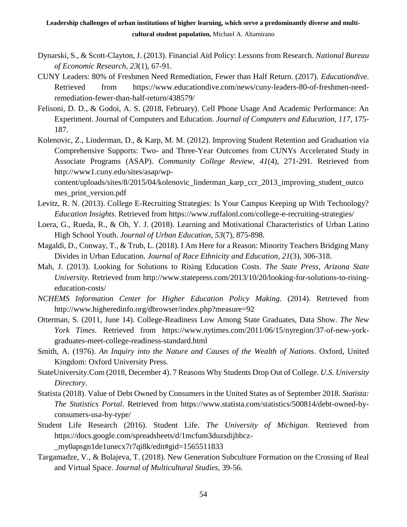- Dynarski, S., & Scott-Clayton, J. (2013). Financial Aid Policy: Lessons from Research. *National Bureau of Economic Research, 23*(1), 67-91.
- CUNY Leaders: 80% of Freshmen Need Remediation, Fewer than Half Return. (2017). *Educationdive*. Retrieved from https://www.educationdive.com/news/cuny-leaders-80-of-freshmen-needremediation-fewer-than-half-return/438579/
- Felisoni, D. D., & Godoi, A. S. (2018, February). Cell Phone Usage And Academic Performance: An Experiment. Journal of Computers and Education. *Journal of Computers and Education, 117*, 175- 187.
- Kolenovic, Z., Linderman, D., & Karp, M. M. (2012). Improving Student Retention and Graduation via Comprehensive Supports: Two- and Three-Year Outcomes from CUNYs Accelerated Study in Associate Programs (ASAP). *Community College Review, 41*(4), 271-291. Retrieved from http://www1.cuny.edu/sites/asap/wp-

content/uploads/sites/8/2015/04/kolenovic\_linderman\_karp\_ccr\_2013\_improving\_student\_outco mes\_print\_version.pdf

- Levitz, R. N. (2013). College E-Recruiting Strategies: Is Your Campus Keeping up With Technology? *Education Insights*. Retrieved from https://www.ruffalonl.com/college-e-recruiting-strategies/
- Loera, G., Rueda, R., & Oh, Y. J. (2018). Learning and Motivational Characteristics of Urban Latino High School Youth. *Journal of Urban Education, 53*(7), 875-898.
- Magaldi, D., Conway, T., & Trub, L. (2018). I Am Here for a Reason: Minority Teachers Bridging Many Divides in Urban Education. *Journal of Race Ethnicity and Education, 21*(3), 306-318.
- Mah, J. (2013). Looking for Solutions to Rising Education Costs. *The State Press, Arizona State University*. Retrieved from http://www.statepress.com/2013/10/20/looking-for-solutions-to-risingeducation-costs/
- *NCHEMS Information Center for Higher Education Policy Making*. (2014). Retrieved from http://www.higheredinfo.org/dbrowser/index.php?measure=92
- Otterman, S. (2011, June 14). College-Readiness Low Among State Graduates, Data Show. *The New York Times*. Retrieved from https://www.nytimes.com/2011/06/15/nyregion/37-of-new-yorkgraduates-meet-college-readiness-standard.html
- Smith, A. (1976). *An Inquiry into the Nature and Causes of the Wealth of Nations*. Oxford, United Kingdom: Oxford University Press.
- StateUniversity.Com (2018, December 4). 7 Reasons Why Students Drop Out of College. *U.S. University Directory*.
- Statista (2018). Value of Debt Owned by Consumers in the United States as of September 2018. *Statista: The Statistics Portal*. Retrieved from https://www.statista.com/statistics/500814/debt-owned-byconsumers-usa-by-type/
- Student Life Research (2016). Student Life. *The University of Michigan*. Retrieved from https://docs.google.com/spreadsheets/d/1mcfum3duzsdijhbcz- \_my0apsgn1de1unecx7r7qi8k/edit#gid=1565511833
- Targamadze, V., & Bulajeva, T. (2018). New Generation Subculture Formation on the Crossing of Real and Virtual Space. *Journal of Multicultural Studies*, 39-56.